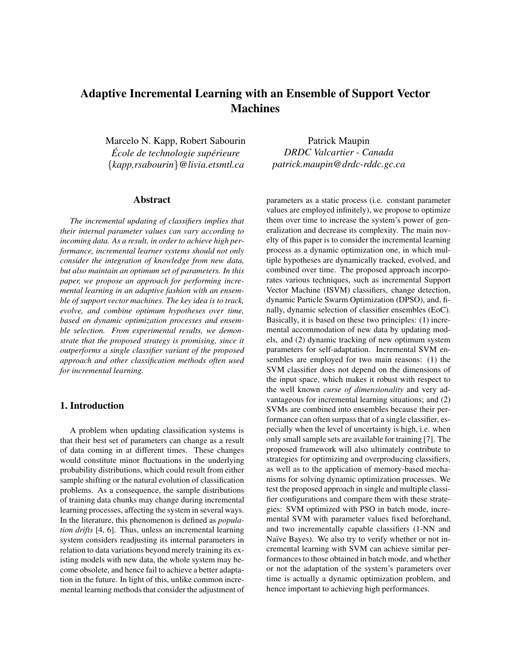# **Adaptive Incremental Learning with an Ensemble of Support Vector Machines**

Marcelo N. Kapp, Robert Sabourin  $\acute{E}$ *cole de technologie supérieure* {*kapp,rsabourin*}*@livia.etsmtl.ca*

#### **Abstract**

*The incremental updating of classifiers implies that their internal parameter values can vary according to incoming data. As a result, in order to achieve high performance, incremental learner systems should not only consider the integration of knowledge from new data, but also maintain an optimum set of parameters. In this paper, we propose an approach for performing incremental learning in an adaptive fashion with an ensemble of support vector machines. The key idea is to track, evolve, and combine optimum hypotheses over time, based on dynamic optimization processes and ensemble selection. From experimental results, we demonstrate that the proposed strategy is promising, since it outperforms a single classifier variant of the proposed approach and other classification methods often used for incremental learning.*

# **1. Introduction**

A problem when updating classification systems is that their best set of parameters can change as a result of data coming in at different times. These changes would constitute minor fluctuations in the underlying probability distributions, which could result from either sample shifting or the natural evolution of classification problems. As a consequence, the sample distributions of training data chunks may change during incremental learning processes, affecting the system in several ways. In the literature, this phenomenon is defined as *population drifts* [4, 6]. Thus, unless an incremental learning system considers readjusting its internal parameters in relation to data variations beyond merely training its existing models with new data, the whole system may become obsolete, and hence fail to achieve a better adaptation in the future. In light of this, unlike common incremental learning methods that consider the adjustment of

Patrick Maupin *DRDC Valcartier - Canada patrick.maupin@drdc-rddc.gc.ca*

parameters as a static process (i.e. constant parameter values are employed infinitely), we propose to optimize them over time to increase the system's power of generalization and decrease its complexity. The main novelty of this paper is to consider the incremental learning process as a dynamic optimization one, in which multiple hypotheses are dynamically tracked, evolved, and combined over time. The proposed approach incorporates various techniques, such as incremental Support Vector Machine (ISVM) classifiers, change detection, dynamic Particle Swarm Optimization (DPSO), and, finally, dynamic selection of classifier ensembles (EoC). Basically, it is based on these two principles: (1) incremental accommodation of new data by updating models, and (2) dynamic tracking of new optimum system parameters for self-adaptation. Incremental SVM ensembles are employed for two main reasons: (1) the SVM classifier does not depend on the dimensions of the input space, which makes it robust with respect to the well known *curse of dimensionality* and very advantageous for incremental learning situations; and (2) SVMs are combined into ensembles because their performance can often surpass that of a single classifier, especially when the level of uncertainty is high, i.e. when only small sample sets are available for training [7]. The proposed framework will also ultimately contribute to strategies for optimizing and overproducing classifiers, as well as to the application of memory-based mechanisms for solving dynamic optimization processes. We test the proposed approach in single and multiple classifier configurations and compare them with these strategies: SVM optimized with PSO in batch mode, incremental SVM with parameter values fixed beforehand, and two incrementally capable classifiers (1-NN and Naïve Bayes). We also try to verify whether or not incremental learning with SVM can achieve similar performances to those obtained in batch mode, and whether or not the adaptation of the system's parameters over time is actually a dynamic optimization problem, and hence important to achieving high performances.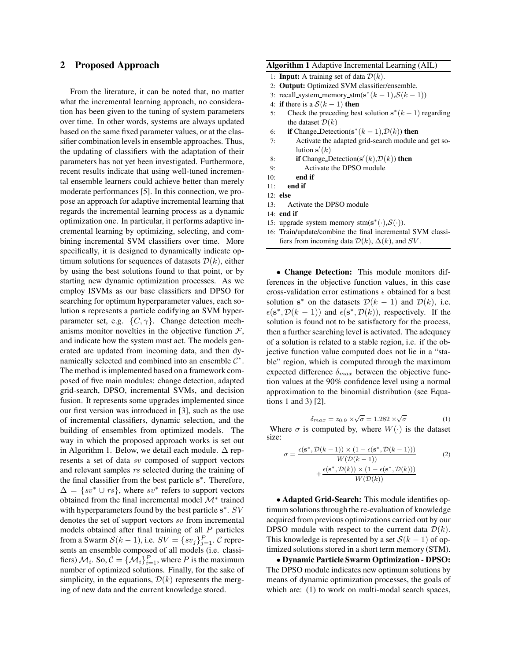# **2 Proposed Approach**

From the literature, it can be noted that, no matter what the incremental learning approach, no consideration has been given to the tuning of system parameters over time. In other words, systems are always updated based on the same fixed parameter values, or at the classifier combination levels in ensemble approaches. Thus, the updating of classifiers with the adaptation of their parameters has not yet been investigated. Furthermore, recent results indicate that using well-tuned incremental ensemble learners could achieve better than merely moderate performances [5]. In this connection, we propose an approach for adaptive incremental learning that regards the incremental learning process as a dynamic optimization one. In particular, it performs adaptive incremental learning by optimizing, selecting, and combining incremental SVM classifiers over time. More specifically, it is designed to dynamically indicate optimum solutions for sequences of datasets  $\mathcal{D}(k)$ , either by using the best solutions found to that point, or by starting new dynamic optimization processes. As we employ ISVMs as our base classifiers and DPSO for searching for optimum hyperparameter values, each solution **s** represents a particle codifying an SVM hyperparameter set, e.g.  $\{C, \gamma\}$ . Change detection mechanisms monitor novelties in the objective function  $\mathcal{F}$ , and indicate how the system must act. The models generated are updated from incoming data, and then dynamically selected and combined into an ensemble  $\mathcal{C}^*$ . The method is implemented based on a framework composed of five main modules: change detection, adapted grid-search, DPSO, incremental SVMs, and decision fusion. It represents some upgrades implemented since our first version was introduced in [3], such as the use of incremental classifiers, dynamic selection, and the building of ensembles from optimized models. The way in which the proposed approach works is set out in Algorithm 1. Below, we detail each module.  $\Delta$  represents a set of data *sv* composed of support vectors and relevant samples *rs* selected during the training of the final classifier from the best particle **s**∗. Therefore,  $\Delta = \{sv^* \cup rs\}$ , where sv<sup>\*</sup> refers to support vectors obtained from the final incremental model M<sup>∗</sup> trained with hyperparameters found by the best particle **s**∗. SV denotes the set of support vectors *sv* from incremental models obtained after final training of all  $P$  particles from a Swarm  $S(k-1)$ , i.e.  $SV = \{sv_j\}_{j=1}^P$ . C represents an ensemble composed of all models (i.e. classifiers)  $\mathcal{M}_i$ . So,  $\mathcal{C} = {\{\mathcal{M}_i\}}_{i=1}^P$ , where P is the maximum number of optimized solutions. Finally, for the sake of simplicity, in the equations,  $\mathcal{D}(k)$  represents the merging of new data and the current knowledge stored.

#### **Algorithm 1** Adaptive Incremental Learning (AIL)

- 1: **Input:** A training set of data  $\mathcal{D}(k)$ .
- 2: **Output:** Optimized SVM classifier/ensemble.
- 3: recall\_system\_memory\_stm( $\mathbf{s}^*(k-1)$ , $S(k-1)$ )
- 4: **if** there is a  $S(k-1)$  **then**<br>5: Check the preceding bes
- Check the preceding best solution  $\mathbf{s}*(k-1)$  regarding the dataset  $\mathcal{D}(k)$
- 6: **if** Change Detection( $\mathbf{s}^*(k-1)$ , $\mathcal{D}(k)$ ) **then**<br>7: Activate the adapted grid-search module a
- Activate the adapted grid-search module and get solution **s** (*k*)
- 8: **if** Change Detection( $\mathbf{s}'(k)$ , $\mathcal{D}(k)$ ) **then**
- 9: Activate the DPSO module
- 10: **end if**
- 11: **end if**
- 12: **else**
- 13: Activate the DPSO module
- 14: **end if**
- 15: upgrade\_system\_memory\_stm( $\mathbf{s}^*(\cdot), \mathcal{S}(\cdot)$ ).
- 16: Train/update/combine the final incremental SVM classifiers from incoming data  $\mathcal{D}(k)$ ,  $\Delta(k)$ , and *SV*.

• **Change Detection:** This module monitors differences in the objective function values, in this case cross-validation error estimations  $\epsilon$  obtained for a best solution **s**<sup>∗</sup> on the datasets  $\mathcal{D}(k - 1)$  and  $\mathcal{D}(k)$ , i.e.  $\epsilon(\mathbf{s}^*, \mathcal{D}(k-1))$  and  $\epsilon(\mathbf{s}^*, \mathcal{D}(k))$ , respectively. If the solution is found not to be satisfactory for the process, then a further searching level is activated. The adequacy of a solution is related to a stable region, i.e. if the objective function value computed does not lie in a "stable" region, which is computed through the maximum expected difference  $\delta_{max}$  between the objective function values at the 90% confidence level using a normal approximation to the binomial distribution (see Equations 1 and 3) [2].

$$
\delta_{max} = z_{0.9} \times \sqrt{\sigma} = 1.282 \times \sqrt{\sigma}
$$
 (1)

Where  $\sigma$  is computed by, where  $W(\cdot)$  is the dataset size:

$$
\sigma = \frac{\epsilon(\mathbf{s}^*, \mathcal{D}(k-1)) \times (1 - \epsilon(\mathbf{s}^*, \mathcal{D}(k-1)))}{W(\mathcal{D}(k-1))}
$$
(2)  
+ 
$$
\frac{\epsilon(\mathbf{s}^*, \mathcal{D}(k)) \times (1 - \epsilon(\mathbf{s}^*, \mathcal{D}(k)))}{W(\mathcal{D}(k))}
$$

• **Adapted Grid-Search:** This module identifies optimum solutions through the re-evaluation of knowledge acquired from previous optimizations carried out by our DPSO module with respect to the current data  $\mathcal{D}(k)$ . This knowledge is represented by a set  $S(k - 1)$  of optimized solutions stored in a short term memory (STM).

• **Dynamic Particle Swarm Optimization - DPSO:** The DPSO module indicates new optimum solutions by means of dynamic optimization processes, the goals of which are: (1) to work on multi-modal search spaces,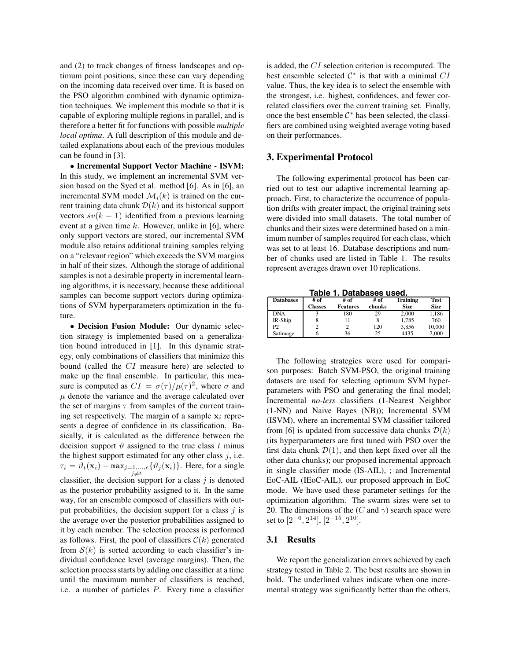and (2) to track changes of fitness landscapes and optimum point positions, since these can vary depending on the incoming data received over time. It is based on the PSO algorithm combined with dynamic optimization techniques. We implement this module so that it is capable of exploring multiple regions in parallel, and is therefore a better fit for functions with possible *multiple local optima*. A full description of this module and detailed explanations about each of the previous modules can be found in [3].

• **Incremental Support Vector Machine - ISVM:** In this study, we implement an incremental SVM version based on the Syed et al. method [6]. As in [6], an incremental SVM model  $\mathcal{M}_i(k)$  is trained on the current training data chunk  $\mathcal{D}(k)$  and its historical support vectors  $sv(k - 1)$  identified from a previous learning event at a given time  $k$ . However, unlike in [6], where only support vectors are stored, our incremental SVM module also retains additional training samples relying on a "relevant region" which exceeds the SVM margins in half of their sizes. Although the storage of additional samples is not a desirable property in incremental learning algorithms, it is necessary, because these additional samples can become support vectors during optimizations of SVM hyperparameters optimization in the future.

• **Decision Fusion Module:** Our dynamic selection strategy is implemented based on a generalization bound introduced in [1]. In this dynamic strategy, only combinations of classifiers that minimize this bound (called the CI measure here) are selected to make up the final ensemble. In particular, this measure is computed as  $CI = \sigma(\tau)/\mu(\tau)^2$ , where  $\sigma$  and  $\mu$  denote the variance and the average calculated over the set of margins  $\tau$  from samples of the current training set respectively. The margin of a sample  $x_i$  represents a degree of confidence in its classification. Basically, it is calculated as the difference between the decision support  $\vartheta$  assigned to the true class t minus the highest support estimated for any other class  $j$ , i.e.  $\tau_i = \vartheta_t(\mathbf{x}_i) - \texttt{max}_{j=1,...,c}$  $j \neq t$  $\{\vartheta_j(\mathbf{x}_i)\}\$ . Here, for a single classifier, the decision support for a class  $j$  is denoted as the posterior probability assigned to it. In the same way, for an ensemble composed of classifiers with output probabilities, the decision support for a class  $j$  is the average over the posterior probabilities assigned to it by each member. The selection process is performed as follows. First, the pool of classifiers  $C(k)$  generated from  $S(k)$  is sorted according to each classifier's individual confidence level (average margins). Then, the selection process starts by adding one classifier at a time until the maximum number of classifiers is reached, i.e. a number of particles  $P$ . Every time a classifier

is added, the CI selection criterion is recomputed. The best ensemble selected  $C^*$  is that with a minimal  $CI$ value. Thus, the key idea is to select the ensemble with the strongest, i.e. highest, confidences, and fewer correlated classifiers over the current training set. Finally, once the best ensemble  $C^*$  has been selected, the classifiers are combined using weighted average voting based on their performances.

## **3. Experimental Protocol**

The following experimental protocol has been carried out to test our adaptive incremental learning approach. First, to characterize the occurrence of population drifts with greater impact, the original training sets were divided into small datasets. The total number of chunks and their sizes were determined based on a minimum number of samples required for each class, which was set to at least 16. Database descriptions and number of chunks used are listed in Table 1. The results represent averages drawn over 10 replications.

**Table 1. Databases used.**

| <b>Databases</b> | # of           | # of            | # of   | <b>Training</b> | <b>Test</b> |  |  |
|------------------|----------------|-----------------|--------|-----------------|-------------|--|--|
|                  | <b>Classes</b> | <b>Features</b> | chunks | <b>Size</b>     | <b>Size</b> |  |  |
| DNA              |                | 180             | 29     | 2,000           | 1,186       |  |  |
| IR-Ship          |                |                 |        | 1,785           | 760         |  |  |
| P?               |                |                 | 120    | 3,856           | 10,000      |  |  |
| Satimage         |                | 36              | 25     | 4435            | 2.000       |  |  |

The following strategies were used for comparison purposes: Batch SVM-PSO, the original training datasets are used for selecting optimum SVM hyperparameters with PSO and generating the final model; Incremental *no-less* classifiers (1-Nearest Neighbor (1-NN) and Naive Bayes (NB)); Incremental SVM (ISVM), where an incremental SVM classifier tailored from [6] is updated from successive data chunks  $\mathcal{D}(k)$ (its hyperparameters are first tuned with PSO over the first data chunk  $\mathcal{D}(1)$ , and then kept fixed over all the other data chunks); our proposed incremental approach in single classifier mode (IS-AIL), ; and Incremental EoC-AIL (IEoC-AIL), our proposed approach in EoC mode. We have used these parameter settings for the optimization algorithm. The swarm sizes were set to 20. The dimensions of the (C and  $\gamma$ ) search space were set to  $[2^{-6}, 2^{14}]$ ,  $[2^{-15}, 2^{10}]$ .

#### **3.1 Results**

We report the generalization errors achieved by each strategy tested in Table 2. The best results are shown in bold. The underlined values indicate when one incremental strategy was significantly better than the others,